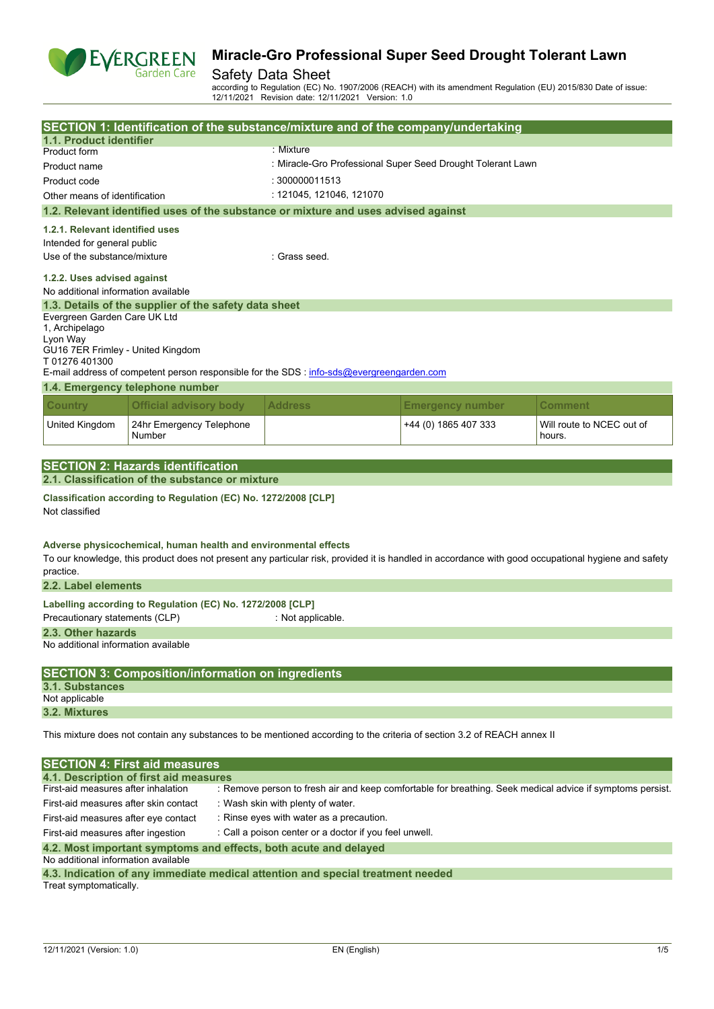

### Safety Data Sheet

according to Regulation (EC) No. 1907/2006 (REACH) with its amendment Regulation (EU) 2015/830 Date of issue: 12/11/2021 Revision date: 12/11/2021 Version: 1.0

|                                       |                                                                 |                | SECTION 1: Identification of the substance/mixture and of the company/undertaking                                       |                         |                                                                                                                                                     |
|---------------------------------------|-----------------------------------------------------------------|----------------|-------------------------------------------------------------------------------------------------------------------------|-------------------------|-----------------------------------------------------------------------------------------------------------------------------------------------------|
| 1.1. Product identifier               |                                                                 |                |                                                                                                                         |                         |                                                                                                                                                     |
| Product form                          |                                                                 | $:$ Mixture    |                                                                                                                         |                         |                                                                                                                                                     |
| Product name                          |                                                                 |                | : Miracle-Gro Professional Super Seed Drought Tolerant Lawn                                                             |                         |                                                                                                                                                     |
| Product code                          |                                                                 | : 300000011513 |                                                                                                                         |                         |                                                                                                                                                     |
| Other means of identification         |                                                                 |                | : 121045, 121046, 121070                                                                                                |                         |                                                                                                                                                     |
|                                       |                                                                 |                | 1.2. Relevant identified uses of the substance or mixture and uses advised against                                      |                         |                                                                                                                                                     |
| 1.2.1. Relevant identified uses       |                                                                 |                |                                                                                                                         |                         |                                                                                                                                                     |
| Intended for general public           |                                                                 |                |                                                                                                                         |                         |                                                                                                                                                     |
| Use of the substance/mixture          |                                                                 |                | : Grass seed.                                                                                                           |                         |                                                                                                                                                     |
|                                       |                                                                 |                |                                                                                                                         |                         |                                                                                                                                                     |
| 1.2.2. Uses advised against           |                                                                 |                |                                                                                                                         |                         |                                                                                                                                                     |
| No additional information available   |                                                                 |                |                                                                                                                         |                         |                                                                                                                                                     |
|                                       | 1.3. Details of the supplier of the safety data sheet           |                |                                                                                                                         |                         |                                                                                                                                                     |
| Evergreen Garden Care UK Ltd          |                                                                 |                |                                                                                                                         |                         |                                                                                                                                                     |
| 1, Archipelago<br>Lyon Way            |                                                                 |                |                                                                                                                         |                         |                                                                                                                                                     |
| GU16 7ER Frimley - United Kingdom     |                                                                 |                |                                                                                                                         |                         |                                                                                                                                                     |
| T01276401300                          |                                                                 |                |                                                                                                                         |                         |                                                                                                                                                     |
|                                       |                                                                 |                | E-mail address of competent person responsible for the SDS : info-sds@evergreengarden.com                               |                         |                                                                                                                                                     |
|                                       | 1.4. Emergency telephone number                                 |                |                                                                                                                         |                         |                                                                                                                                                     |
| <b>Country</b>                        | <b>Official advisory body</b>                                   |                | <b>Address</b>                                                                                                          | <b>Emergency number</b> | Comment                                                                                                                                             |
| United Kingdom                        | 24hr Emergency Telephone<br>Number                              |                |                                                                                                                         | +44 (0) 1865 407 333    | Will route to NCEC out of<br>hours.                                                                                                                 |
|                                       |                                                                 |                |                                                                                                                         |                         |                                                                                                                                                     |
|                                       | <b>SECTION 2: Hazards identification</b>                        |                |                                                                                                                         |                         |                                                                                                                                                     |
|                                       | 2.1. Classification of the substance or mixture                 |                |                                                                                                                         |                         |                                                                                                                                                     |
| Not classified                        | Classification according to Regulation (EC) No. 1272/2008 [CLP] |                |                                                                                                                         |                         |                                                                                                                                                     |
| practice.                             | Adverse physicochemical, human health and environmental effects |                |                                                                                                                         |                         | To our knowledge, this product does not present any particular risk, provided it is handled in accordance with good occupational hygiene and safety |
| 2.2. Label elements                   |                                                                 |                |                                                                                                                         |                         |                                                                                                                                                     |
|                                       | Labelling according to Regulation (EC) No. 1272/2008 [CLP]      |                |                                                                                                                         |                         |                                                                                                                                                     |
| Precautionary statements (CLP)        |                                                                 |                | : Not applicable.                                                                                                       |                         |                                                                                                                                                     |
| 2.3. Other hazards                    |                                                                 |                |                                                                                                                         |                         |                                                                                                                                                     |
| No additional information available   |                                                                 |                |                                                                                                                         |                         |                                                                                                                                                     |
|                                       | <b>SECTION 3: Composition/information on ingredients</b>        |                |                                                                                                                         |                         |                                                                                                                                                     |
| 3.1. Substances                       |                                                                 |                |                                                                                                                         |                         |                                                                                                                                                     |
| Not applicable                        |                                                                 |                |                                                                                                                         |                         |                                                                                                                                                     |
| 3.2. Mixtures                         |                                                                 |                |                                                                                                                         |                         |                                                                                                                                                     |
|                                       |                                                                 |                | This mixture does not contain any substances to be mentioned according to the criteria of section 3.2 of REACH annex II |                         |                                                                                                                                                     |
|                                       |                                                                 |                |                                                                                                                         |                         |                                                                                                                                                     |
|                                       | <b>SECTION 4: First aid measures</b>                            |                |                                                                                                                         |                         |                                                                                                                                                     |
|                                       | 4.1. Description of first aid measures                          |                |                                                                                                                         |                         |                                                                                                                                                     |
| First-aid measures after inhalation   |                                                                 |                |                                                                                                                         |                         | : Remove person to fresh air and keep comfortable for breathing. Seek medical advice if symptoms persist.                                           |
| First-aid measures after skin contact |                                                                 |                | : Wash skin with plenty of water.                                                                                       |                         |                                                                                                                                                     |
| First-aid measures after eye contact  |                                                                 |                | : Rinse eyes with water as a precaution.                                                                                |                         |                                                                                                                                                     |
| First-aid measures after ingestion    |                                                                 |                | : Call a poison center or a doctor if you feel unwell.                                                                  |                         |                                                                                                                                                     |
|                                       |                                                                 |                |                                                                                                                         |                         |                                                                                                                                                     |
| No additional information available   |                                                                 |                | 4.2. Most important symptoms and effects, both acute and delayed                                                        |                         |                                                                                                                                                     |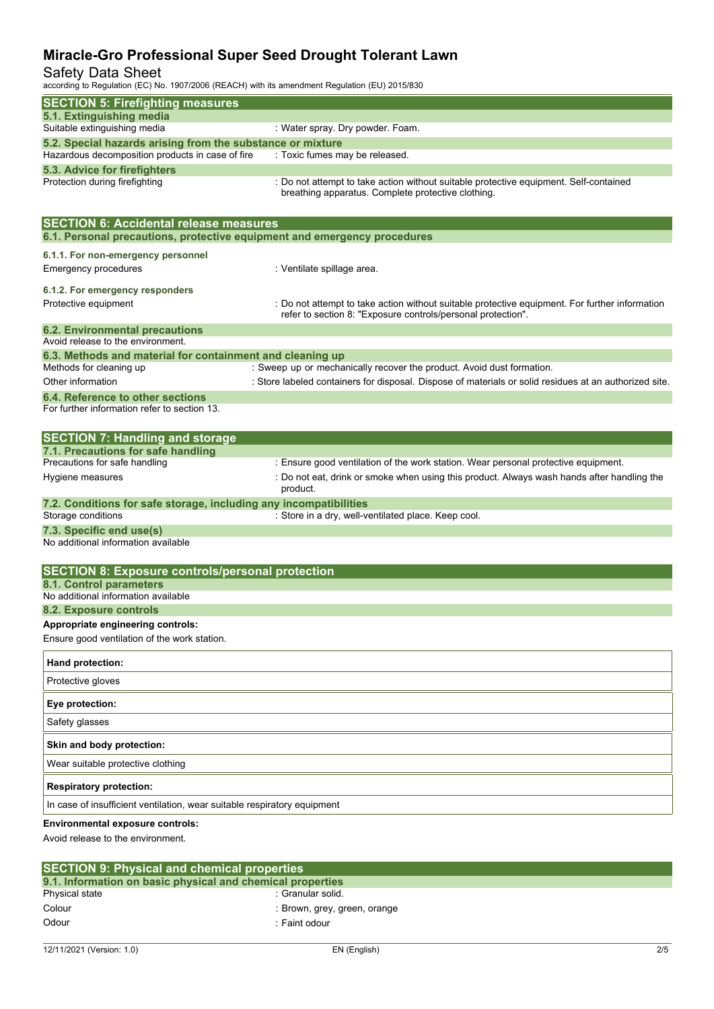## Safety Data Sheet

according to Regulation (EC) No. 1907/2006 (REACH) with its amendment Regulation (EU) 2015/830

| <b>SECTION 5: Firefighting measures</b>                                                                                   |                                                                                                                                                                |
|---------------------------------------------------------------------------------------------------------------------------|----------------------------------------------------------------------------------------------------------------------------------------------------------------|
| 5.1. Extinguishing media                                                                                                  |                                                                                                                                                                |
| Suitable extinguishing media                                                                                              | : Water spray. Dry powder. Foam.                                                                                                                               |
| 5.2. Special hazards arising from the substance or mixture<br>Hazardous decomposition products in case of fire            | : Toxic fumes may be released.                                                                                                                                 |
| 5.3. Advice for firefighters                                                                                              |                                                                                                                                                                |
| Protection during firefighting                                                                                            | : Do not attempt to take action without suitable protective equipment. Self-contained<br>breathing apparatus. Complete protective clothing.                    |
| <b>SECTION 6: Accidental release measures</b><br>6.1. Personal precautions, protective equipment and emergency procedures |                                                                                                                                                                |
| 6.1.1. For non-emergency personnel<br><b>Emergency procedures</b>                                                         | : Ventilate spillage area.                                                                                                                                     |
|                                                                                                                           |                                                                                                                                                                |
| 6.1.2. For emergency responders<br>Protective equipment                                                                   | : Do not attempt to take action without suitable protective equipment. For further information<br>refer to section 8: "Exposure controls/personal protection". |
| <b>6.2. Environmental precautions</b>                                                                                     |                                                                                                                                                                |
| Avoid release to the environment.                                                                                         |                                                                                                                                                                |
| 6.3. Methods and material for containment and cleaning up<br>Methods for cleaning up                                      | : Sweep up or mechanically recover the product. Avoid dust formation.                                                                                          |
| Other information                                                                                                         | : Store labeled containers for disposal. Dispose of materials or solid residues at an authorized site.                                                         |
| 6.4. Reference to other sections<br>For further information refer to section 13.                                          |                                                                                                                                                                |
| <b>SECTION 7: Handling and storage</b>                                                                                    |                                                                                                                                                                |
| 7.1. Precautions for safe handling                                                                                        |                                                                                                                                                                |
| Precautions for safe handling                                                                                             | : Ensure good ventilation of the work station. Wear personal protective equipment.                                                                             |
| Hygiene measures                                                                                                          | : Do not eat, drink or smoke when using this product. Always wash hands after handling the<br>product.                                                         |
| 7.2. Conditions for safe storage, including any incompatibilities                                                         |                                                                                                                                                                |
| Storage conditions                                                                                                        | : Store in a dry, well-ventilated place. Keep cool.                                                                                                            |
| 7.3. Specific end use(s)<br>No additional information available                                                           |                                                                                                                                                                |
|                                                                                                                           |                                                                                                                                                                |
| <b>SECTION 8: Exposure controls/personal protection</b>                                                                   |                                                                                                                                                                |
| 8.1. Control parameters                                                                                                   |                                                                                                                                                                |
| No additional information available                                                                                       |                                                                                                                                                                |
| 8.2. Exposure controls<br>Appropriate engineering controls:                                                               |                                                                                                                                                                |
| Ensure good ventilation of the work station.                                                                              |                                                                                                                                                                |
|                                                                                                                           |                                                                                                                                                                |
| Hand protection:                                                                                                          |                                                                                                                                                                |
| Protective gloves                                                                                                         |                                                                                                                                                                |
| Eye protection:                                                                                                           |                                                                                                                                                                |
| Safety glasses                                                                                                            |                                                                                                                                                                |
| Skin and body protection:                                                                                                 |                                                                                                                                                                |
| Wear suitable protective clothing                                                                                         |                                                                                                                                                                |
| <b>Respiratory protection:</b>                                                                                            |                                                                                                                                                                |
| In case of insufficient ventilation, wear suitable respiratory equipment                                                  |                                                                                                                                                                |
| <b>Environmental exposure controls:</b>                                                                                   |                                                                                                                                                                |
| Avoid release to the environment.                                                                                         |                                                                                                                                                                |

| <b>SECTION 9: Physical and chemical properties</b>         |                              |  |  |  |  |
|------------------------------------------------------------|------------------------------|--|--|--|--|
| 9.1. Information on basic physical and chemical properties |                              |  |  |  |  |
| Physical state                                             | :Granular solid.             |  |  |  |  |
| Colour                                                     | : Brown, grey, green, orange |  |  |  |  |
| Odour                                                      | : Faint odour                |  |  |  |  |
|                                                            |                              |  |  |  |  |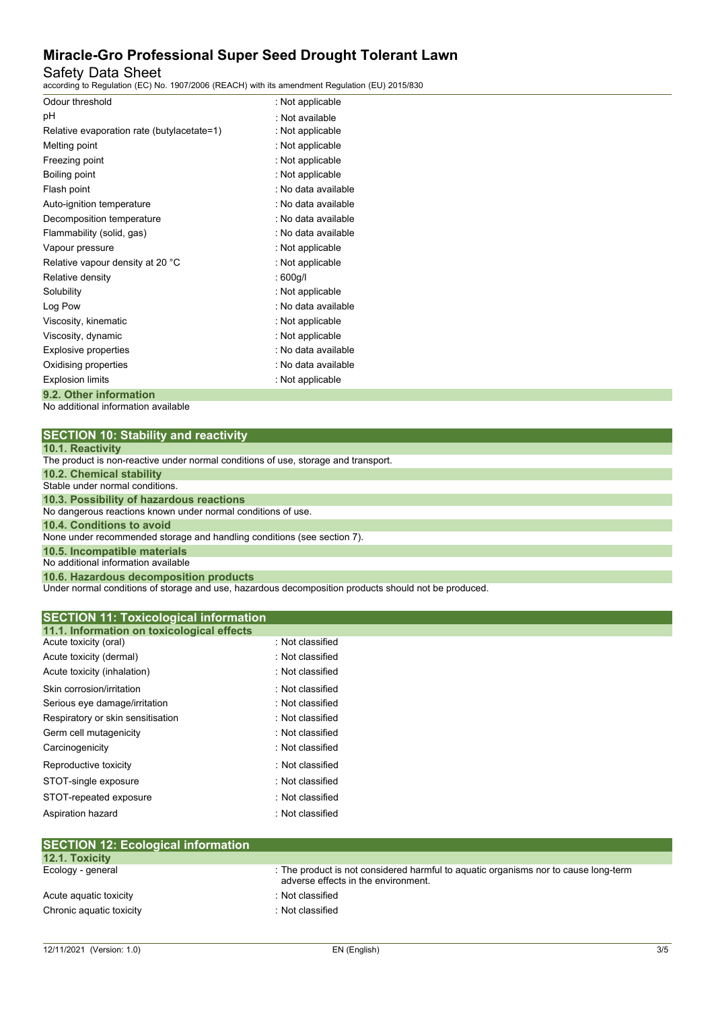## Safety Data Sheet

according to Regulation (EC) No. 1907/2006 (REACH) with its amendment Regulation (EU) 2015/830

| Odour threshold                            | : Not applicable    |
|--------------------------------------------|---------------------|
| рH                                         | · Not available     |
| Relative evaporation rate (butylacetate=1) | : Not applicable    |
| Melting point                              | : Not applicable    |
| Freezing point                             | : Not applicable    |
| Boiling point                              | : Not applicable    |
| Flash point                                | : No data available |
| Auto-ignition temperature                  | : No data available |
| Decomposition temperature                  | : No data available |
| Flammability (solid, gas)                  | : No data available |
| Vapour pressure                            | : Not applicable    |
| Relative vapour density at 20 °C           | : Not applicable    |
| Relative density                           | : 600g/l            |
| Solubility                                 | : Not applicable    |
| Log Pow                                    | : No data available |
| Viscosity, kinematic                       | : Not applicable    |
| Viscosity, dynamic                         | : Not applicable    |
| <b>Explosive properties</b>                | : No data available |
| Oxidising properties                       | : No data available |
| <b>Explosion limits</b>                    | : Not applicable    |
| 9.2. Other information                     |                     |

No additional information available

| <b>SECTION 10: Stability and reactivity</b> |  |
|---------------------------------------------|--|
|---------------------------------------------|--|

|  |  | 10.1. Reactivity |  |  |
|--|--|------------------|--|--|
|  |  |                  |  |  |

| <b>TV.I.INGUGUTILY</b>                                                             |
|------------------------------------------------------------------------------------|
| The product is non-reactive under normal conditions of use, storage and transport. |
| <b>10.2. Chemical stability</b>                                                    |
| Stable under normal conditions.                                                    |
| 10.3. Possibility of hazardous reactions                                           |
| No dangerous reactions known under normal conditions of use.                       |
| 10.4. Conditions to avoid                                                          |
| None under recommended storage and handling conditions (see section 7).            |
| 10.5. Incompatible materials                                                       |
| No additional information available                                                |
| 10.6. Hazardous decomposition products                                             |

Under normal conditions of storage and use, hazardous decomposition products should not be produced.

| <b>SECTION 11: Toxicological information</b> |                  |  |
|----------------------------------------------|------------------|--|
| 11.1. Information on toxicological effects   |                  |  |
| Acute toxicity (oral)                        | : Not classified |  |
| Acute toxicity (dermal)                      | : Not classified |  |
| Acute toxicity (inhalation)                  | : Not classified |  |
| Skin corrosion/irritation                    | : Not classified |  |
| Serious eye damage/irritation                | : Not classified |  |
| Respiratory or skin sensitisation            | : Not classified |  |
| Germ cell mutagenicity                       | : Not classified |  |
| Carcinogenicity                              | : Not classified |  |
| Reproductive toxicity                        | : Not classified |  |
| STOT-single exposure                         | : Not classified |  |
| STOT-repeated exposure                       | : Not classified |  |
| Aspiration hazard                            | : Not classified |  |
|                                              |                  |  |
| <b>SECTION 12: Ecological information</b>    |                  |  |

| $\overline{C}$ . $\overline{C}$ . $\overline{C}$ . Ecological information |                                                                                                                            |
|---------------------------------------------------------------------------|----------------------------------------------------------------------------------------------------------------------------|
| 12.1. Toxicity                                                            |                                                                                                                            |
| Ecology - general                                                         | : The product is not considered harmful to aquatic organisms nor to cause long-term<br>adverse effects in the environment. |
| Acute aguatic toxicity                                                    | : Not classified                                                                                                           |
| Chronic aquatic toxicity                                                  | : Not classified                                                                                                           |
|                                                                           |                                                                                                                            |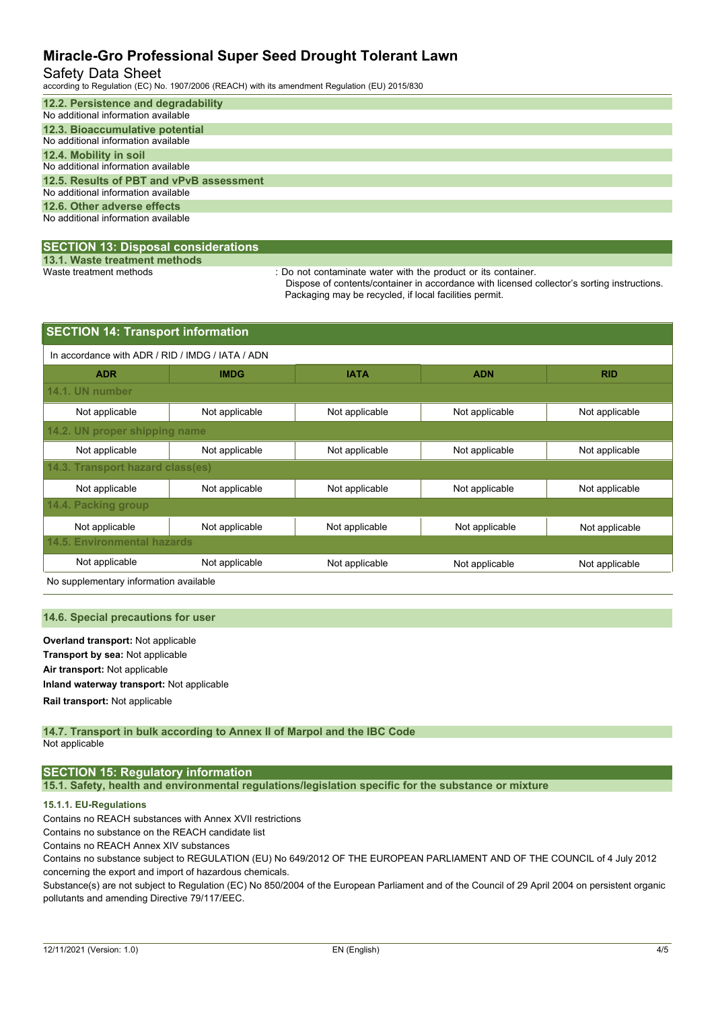#### Safety Data Sheet

according to Regulation (EC) No. 1907/2006 (REACH) with its amendment Regulation (EU) 2015/830

| 12.2. Persistence and degradability      |
|------------------------------------------|
| No additional information available      |
| 12.3. Bioaccumulative potential          |
| No additional information available      |
| 12.4. Mobility in soil                   |
| No additional information available      |
| 12.5. Results of PBT and vPvB assessment |
| No additional information available      |
| 12.6. Other adverse effects              |
| No additional information available      |
|                                          |

#### **SECTION 13: Disposal considerations**

**13.1. Waste treatment methods**

: Do not contaminate water with the product or its container.

Dispose of contents/container in accordance with licensed collector's sorting instructions. Packaging may be recycled, if local facilities permit.

| <b>SECTION 14: Transport information</b>         |                |                |                |                |  |  |  |  |
|--------------------------------------------------|----------------|----------------|----------------|----------------|--|--|--|--|
| In accordance with ADR / RID / IMDG / IATA / ADN |                |                |                |                |  |  |  |  |
| <b>ADR</b>                                       | <b>IMDG</b>    | <b>IATA</b>    | <b>ADN</b>     | <b>RID</b>     |  |  |  |  |
| 14.1. UN number                                  |                |                |                |                |  |  |  |  |
| Not applicable                                   | Not applicable | Not applicable | Not applicable | Not applicable |  |  |  |  |
| 14.2. UN proper shipping name                    |                |                |                |                |  |  |  |  |
| Not applicable                                   | Not applicable | Not applicable | Not applicable | Not applicable |  |  |  |  |
| 14.3. Transport hazard class(es)                 |                |                |                |                |  |  |  |  |
| Not applicable                                   | Not applicable | Not applicable | Not applicable | Not applicable |  |  |  |  |
| 14.4. Packing group                              |                |                |                |                |  |  |  |  |
| Not applicable                                   | Not applicable | Not applicable | Not applicable | Not applicable |  |  |  |  |
| 14.5. Environmental hazards                      |                |                |                |                |  |  |  |  |
| Not applicable                                   | Not applicable | Not applicable | Not applicable | Not applicable |  |  |  |  |

No supplementary information available

#### **14.6. Special precautions for user**

**Overland transport:** Not applicable **Transport by sea:** Not applicable **Air transport:** Not applicable **Inland waterway transport:** Not applicable **Rail.transport:** Not applicable

**14.7. Transport in bulk according to Annex II of Marpol and the IBC Code** Not applicable

#### **SECTION 15: Regulatory information**

**15.1. Safety, health and environmental regulations/legislation specific for the substance or mixture**

#### **15.1.1. EU-Regulations**

Contains no REACH substances with Annex XVII restrictions

Contains no substance on the REACH candidate list

Contains no REACH Annex XIV substances

Contains no substance subject to REGULATION (EU) No 649/2012 OF THE EUROPEAN PARLIAMENT AND OF THE COUNCIL of 4 July 2012 concerning the export and import of hazardous chemicals.

Substance(s) are not subject to Regulation (EC) No 850/2004 of the European Parliament and of the Council of 29 April 2004 on persistent organic pollutants and amending Directive 79/117/EEC.